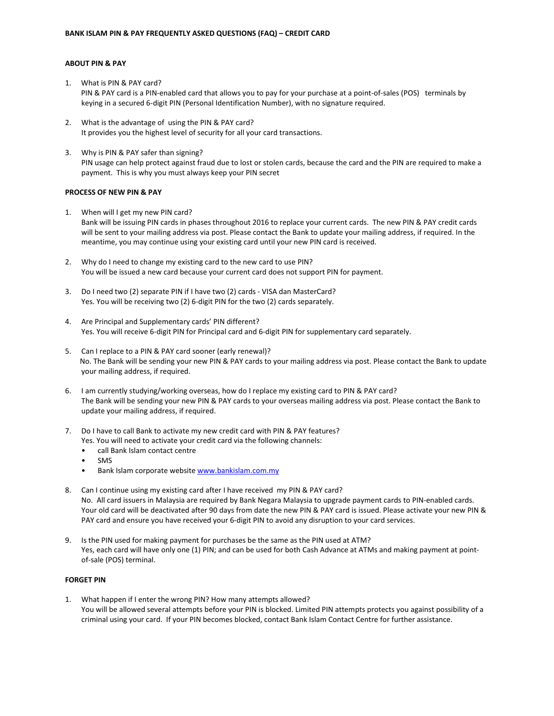# **ABOUT PIN & PAY**

- 1. What is PIN & PAY card? PIN & PAY card is a PIN-enabled card that allows you to pay for your purchase at a point-of-sales (POS) terminals by keying in a secured 6-digit PIN (Personal Identification Number), with no signature required.
- 2. What is the advantage of using the PIN & PAY card? It provides you the highest level of security for all your card transactions.
- 3. Why is PIN & PAY safer than signing? PIN usage can help protect against fraud due to lost or stolen cards, because the card and the PIN are required to make a payment. This is why you must always keep your PIN secret

### **PROCESS OF NEW PIN & PAY**

- 1. When will I get my new PIN card? Bank will be issuing PIN cards in phases throughout 2016 to replace your current cards. The new PIN & PAY credit cards will be sent to your mailing address via post. Please contact the Bank to update your mailing address, if required. In the meantime, you may continue using your existing card until your new PIN card is received.
- 2. Why do I need to change my existing card to the new card to use PIN? You will be issued a new card because your current card does not support PIN for payment.
- 3. Do I need two (2) separate PIN if I have two (2) cards VISA dan MasterCard? Yes. You will be receiving two (2) 6-digit PIN for the two (2) cards separately.
- 4. Are Principal and Supplementary cards' PIN different? Yes. You will receive 6-digit PIN for Principal card and 6-digit PIN for supplementary card separately.
- 5. Can I replace to a PIN & PAY card sooner (early renewal)? No. The Bank will be sending your new PIN & PAY cards to your mailing address via post. Please contact the Bank to update your mailing address, if required.
- 6. I am currently studying/working overseas, how do I replace my existing card to PIN & PAY card? The Bank will be sending your new PIN & PAY cards to your overseas mailing address via post. Please contact the Bank to update your mailing address, if required.
- 7. Do I have to call Bank to activate my new credit card with PIN & PAY features? Yes. You will need to activate your credit card via the following channels:
	- call Bank Islam contact centre
	- SMS
	- Bank Islam corporate websit[e www.bankislam.com.my](http://www.bankislam.com.my/)
- 8. Can I continue using my existing card after I have received my PIN & PAY card? No. All card issuers in Malaysia are required by Bank Negara Malaysia to upgrade payment cards to PIN-enabled cards. Your old card will be deactivated after 90 days from date the new PIN & PAY card is issued. Please activate your new PIN & PAY card and ensure you have received your 6-digit PIN to avoid any disruption to your card services.
- 9. Is the PIN used for making payment for purchases be the same as the PIN used at ATM? Yes, each card will have only one (1) PIN; and can be used for both Cash Advance at ATMs and making payment at pointof-sale (POS) terminal.

#### **FORGET PIN**

1. What happen if I enter the wrong PIN? How many attempts allowed? You will be allowed several attempts before your PIN is blocked. Limited PIN attempts protects you against possibility of a criminal using your card. If your PIN becomes blocked, contact Bank Islam Contact Centre for further assistance.